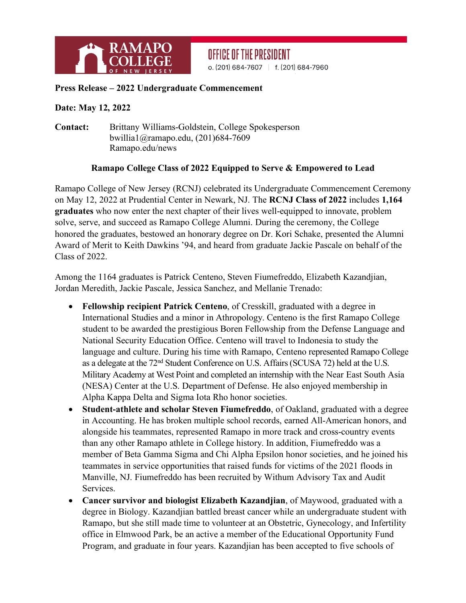

## OFFICE OF THE PRESIDENT

o. (201) 684-7607 | f. (201) 684-7960

## **Press Release – 2022 Undergraduate Commencement**

## **Date: May 12, 2022**

**Contact:** Brittany Williams-Goldstein, College Spokesperson bwillia1@ramapo.edu, (201)684-7609 Ramapo.edu/news

## **Ramapo College Class of 2022 Equipped to Serve & Empowered to Lead**

Ramapo College of New Jersey (RCNJ) celebrated its Undergraduate Commencement Ceremony on May 12, 2022 at Prudential Center in Newark, NJ. The **RCNJ Class of 2022** includes **1,164 graduates** who now enter the next chapter of their lives well-equipped to innovate, problem solve, serve, and succeed as Ramapo College Alumni. During the ceremony, the College honored the graduates, bestowed an honorary degree on Dr. Kori Schake, presented the Alumni Award of Merit to Keith Dawkins '94, and heard from graduate Jackie Pascale on behalf of the Class of 2022.

Among the 1164 graduates is Patrick Centeno, Steven Fiumefreddo, Elizabeth Kazandjian, Jordan Meredith, Jackie Pascale, Jessica Sanchez, and Mellanie Trenado:

- **Fellowship recipient Patrick Centeno**, of Cresskill, graduated with a degree in International Studies and a minor in Athropology. Centeno is the first Ramapo College student to be awarded the prestigious Boren Fellowship from the Defense Language and National Security Education Office. Centeno will travel to Indonesia to study the language and culture. During his time with Ramapo, Centeno represented Ramapo College as a delegate at the 72nd Student Conference on U.S. Affairs (SCUSA 72) held at the U.S. Military Academy at West Point and completed an internship with the Near East South Asia (NESA) Center at the U.S. Department of Defense. He also enjoyed membership in Alpha Kappa Delta and Sigma Iota Rho honor societies.
- **Student-athlete and scholar Steven Fiumefreddo**, of Oakland, graduated with a degree in Accounting. He has broken multiple school records, earned All-American honors, and alongside his teammates, represented Ramapo in more track and cross-country events than any other Ramapo athlete in College history. In addition, Fiumefreddo was a member of Beta Gamma Sigma and Chi Alpha Epsilon honor societies, and he joined his teammates in service opportunities that raised funds for victims of the 2021 floods in Manville, NJ. Fiumefreddo has been recruited by Withum Advisory Tax and Audit Services.
- **Cancer survivor and biologist Elizabeth Kazandjian**, of Maywood, graduated with a degree in Biology. Kazandjian battled breast cancer while an undergraduate student with Ramapo, but she still made time to volunteer at an Obstetric, Gynecology, and Infertility office in Elmwood Park, be an active a member of the Educational Opportunity Fund Program, and graduate in four years. Kazandjian has been accepted to five schools of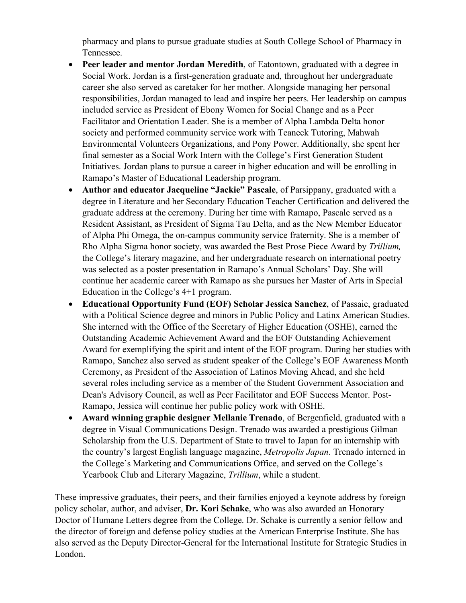pharmacy and plans to pursue graduate studies at South College School of Pharmacy in Tennessee.

- **Peer leader and mentor Jordan Meredith**, of Eatontown, graduated with a degree in Social Work. Jordan is a first-generation graduate and, throughout her undergraduate career she also served as caretaker for her mother. Alongside managing her personal responsibilities, Jordan managed to lead and inspire her peers. Her leadership on campus included service as President of Ebony Women for Social Change and as a Peer Facilitator and Orientation Leader. She is a member of Alpha Lambda Delta honor society and performed community service work with Teaneck Tutoring, Mahwah Environmental Volunteers Organizations, and Pony Power. Additionally, she spent her final semester as a Social Work Intern with the College's First Generation Student Initiatives. Jordan plans to pursue a career in higher education and will be enrolling in Ramapo's Master of Educational Leadership program.
- **Author and educator Jacqueline "Jackie" Pascale**, of Parsippany, graduated with a degree in Literature and her Secondary Education Teacher Certification and delivered the graduate address at the ceremony. During her time with Ramapo, Pascale served as a Resident Assistant, as President of Sigma Tau Delta, and as the New Member Educator of Alpha Phi Omega, the on-campus community service fraternity. She is a member of Rho Alpha Sigma honor society, was awarded the Best Prose Piece Award by *Trillium,* the College's literary magazine, and her undergraduate research on international poetry was selected as a poster presentation in Ramapo's Annual Scholars' Day. She will continue her academic career with Ramapo as she pursues her Master of Arts in Special Education in the College's 4+1 program.
- **Educational Opportunity Fund (EOF) Scholar Jessica Sanchez**, of Passaic, graduated with a Political Science degree and minors in Public Policy and Latinx American Studies. She interned with the Office of the Secretary of Higher Education (OSHE), earned the Outstanding Academic Achievement Award and the EOF Outstanding Achievement Award for exemplifying the spirit and intent of the EOF program. During her studies with Ramapo, Sanchez also served as student speaker of the College's EOF Awareness Month Ceremony, as President of the Association of Latinos Moving Ahead, and she held several roles including service as a member of the Student Government Association and Dean's Advisory Council, as well as Peer Facilitator and EOF Success Mentor. Post-Ramapo, Jessica will continue her public policy work with OSHE.
- **Award winning graphic designer Mellanie Trenado**, of Bergenfield, graduated with a degree in Visual Communications Design. Trenado was awarded a prestigious Gilman Scholarship from the U.S. Department of State to travel to Japan for an internship with the country's largest English language magazine, *Metropolis Japan*. Trenado interned in the College's Marketing and Communications Office, and served on the College's Yearbook Club and Literary Magazine, *Trillium*, while a student.

These impressive graduates, their peers, and their families enjoyed a keynote address by foreign policy scholar, author, and adviser, **Dr. Kori Schake**, who was also awarded an Honorary Doctor of Humane Letters degree from the College. Dr. Schake is currently a senior fellow and the director of foreign and defense policy studies at the American Enterprise Institute. She has also served as the Deputy Director-General for the International Institute for Strategic Studies in London.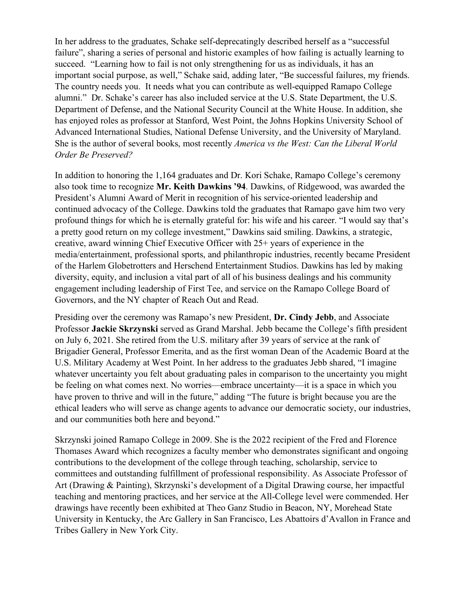In her address to the graduates, Schake self-deprecatingly described herself as a "successful failure", sharing a series of personal and historic examples of how failing is actually learning to succeed. "Learning how to fail is not only strengthening for us as individuals, it has an important social purpose, as well," Schake said, adding later, "Be successful failures, my friends. The country needs you. It needs what you can contribute as well-equipped Ramapo College alumni." Dr. Schake's career has also included service at the U.S. State Department, the U.S. Department of Defense, and the National Security Council at the White House. In addition, she has enjoyed roles as professor at Stanford, West Point, the Johns Hopkins University School of Advanced International Studies, National Defense University, and the University of Maryland. She is the author of several books, most recently *America vs the West: Can the Liberal World Order Be Preserved?*

In addition to honoring the 1,164 graduates and Dr. Kori Schake, Ramapo College's ceremony also took time to recognize **Mr. Keith Dawkins '94**. Dawkins, of Ridgewood, was awarded the President's Alumni Award of Merit in recognition of his service-oriented leadership and continued advocacy of the College. Dawkins told the graduates that Ramapo gave him two very profound things for which he is eternally grateful for: his wife and his career. "I would say that's a pretty good return on my college investment," Dawkins said smiling. Dawkins, a strategic, creative, award winning Chief Executive Officer with 25+ years of experience in the media/entertainment, professional sports, and philanthropic industries, recently became President of the Harlem Globetrotters and Herschend Entertainment Studios. Dawkins has led by making diversity, equity, and inclusion a vital part of all of his business dealings and his community engagement including leadership of First Tee, and service on the Ramapo College Board of Governors, and the NY chapter of Reach Out and Read.

Presiding over the ceremony was Ramapo's new President, **Dr. Cindy Jebb**, and Associate Professor **Jackie Skrzynski** served as Grand Marshal. Jebb became the College's fifth president on July 6, 2021. She retired from the U.S. military after 39 years of service at the rank of Brigadier General, Professor Emerita, and as the first woman Dean of the Academic Board at the U.S. Military Academy at West Point. In her address to the graduates Jebb shared, "I imagine whatever uncertainty you felt about graduating pales in comparison to the uncertainty you might be feeling on what comes next. No worries—embrace uncertainty—it is a space in which you have proven to thrive and will in the future," adding "The future is bright because you are the ethical leaders who will serve as change agents to advance our democratic society, our industries, and our communities both here and beyond."

Skrzynski joined Ramapo College in 2009. She is the 2022 recipient of the Fred and Florence Thomases Award which recognizes a faculty member who demonstrates significant and ongoing contributions to the development of the college through teaching, scholarship, service to committees and outstanding fulfillment of professional responsibility. As Associate Professor of Art (Drawing & Painting), Skrzynski's development of a Digital Drawing course, her impactful teaching and mentoring practices, and her service at the All-College level were commended. Her drawings have recently been exhibited at Theo Ganz Studio in Beacon, NY, Morehead State University in Kentucky, the Arc Gallery in San Francisco, Les Abattoirs d'Avallon in France and Tribes Gallery in New York City.